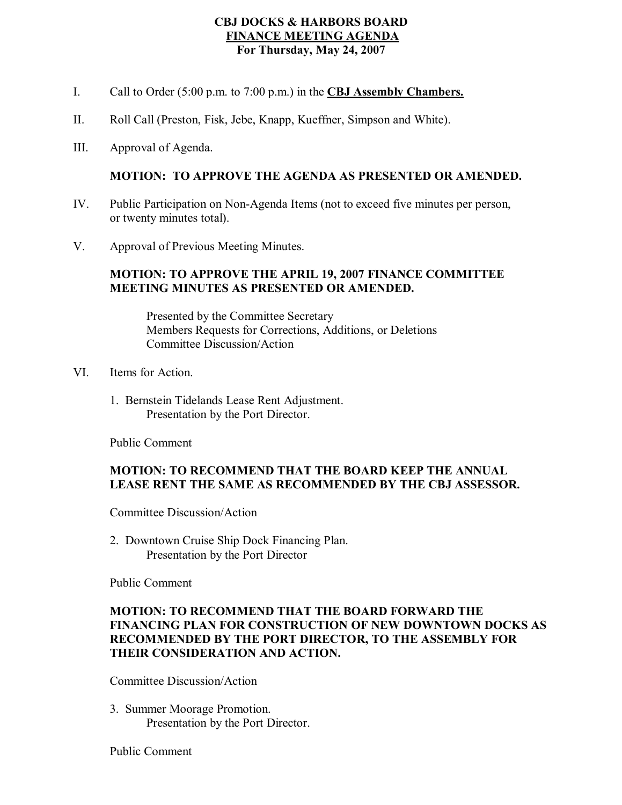### **CBJ DOCKS & HARBORS BOARD FINANCE MEETING AGENDA For Thursday, May 24, 2007**

- I. Call to Order (5:00 p.m. to 7:00 p.m.) in the **CBJ Assembly Chambers.**
- II. Roll Call (Preston, Fisk, Jebe, Knapp, Kueffner, Simpson and White).
- III. Approval of Agenda.

#### **MOTION: TO APPROVE THE AGENDA AS PRESENTED OR AMENDED.**

- IV. Public Participation on Non-Agenda Items (not to exceed five minutes per person, or twenty minutes total).
- V. Approval of Previous Meeting Minutes.

#### **MOTION: TO APPROVE THE APRIL 19, 2007 FINANCE COMMITTEE MEETING MINUTES AS PRESENTED OR AMENDED.**

Presented by the Committee Secretary Members Requests for Corrections, Additions, or Deletions Committee Discussion/Action

- VI. Items for Action.
	- 1. Bernstein Tidelands Lease Rent Adjustment. Presentation by the Port Director.

Public Comment

#### **MOTION: TO RECOMMEND THAT THE BOARD KEEP THE ANNUAL LEASE RENT THE SAME AS RECOMMENDED BY THE CBJ ASSESSOR.**

Committee Discussion/Action

2. Downtown Cruise Ship Dock Financing Plan. Presentation by the Port Director

Public Comment

### **MOTION: TO RECOMMEND THAT THE BOARD FORWARD THE FINANCING PLAN FOR CONSTRUCTION OF NEW DOWNTOWN DOCKS AS RECOMMENDED BY THE PORT DIRECTOR, TO THE ASSEMBLY FOR THEIR CONSIDERATION AND ACTION.**

Committee Discussion/Action

3. Summer Moorage Promotion. Presentation by the Port Director.

Public Comment